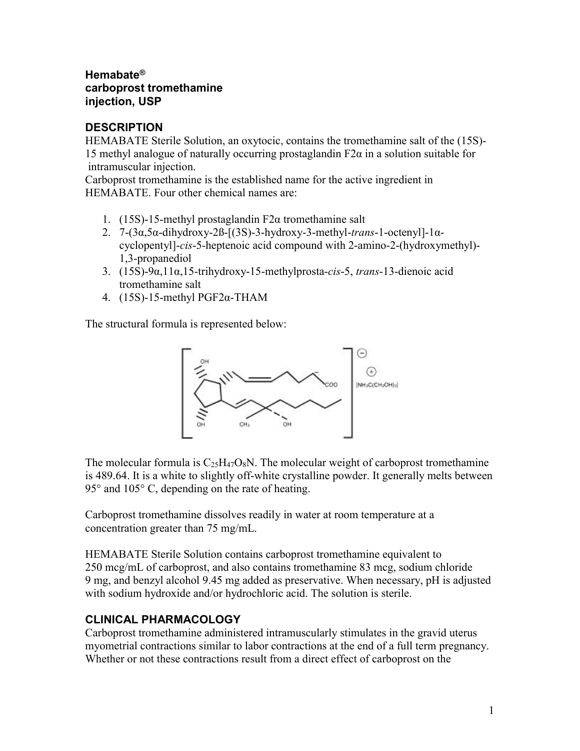### **Hemabate® carboprost tromethamine injection, USP**

### **DESCRIPTION**

HEMABATE Sterile Solution, an oxytocic, contains the tromethamine salt of the (15S)- 15 methyl analogue of naturally occurring prostaglandin  $F2\alpha$  in a solution suitable for intramuscular injection.

Carboprost tromethamine is the established name for the active ingredient in HEMABATE. Four other chemical names are:

- 1. (15S)-15-methyl prostaglandin  $F2\alpha$  tromethamine salt
- 2. 7-(3α,5α-dihydroxy-2ß-[(3S)-3-hydroxy-3-methyl-*trans*-1-octenyl]-1αcyclopentyl]-*cis*-5-heptenoic acid compound with 2-amino-2-(hydroxymethyl)- 1,3-propanediol
- 3. (15S)-9α,11α,15-trihydroxy-15-methylprosta-*cis*-5, *trans*-13-dienoic acid tromethamine salt
- 4. (15S)-15-methyl PGF2α-THAM

The structural formula is represented below:



The molecular formula is  $C_{25}H_{47}O_8N$ . The molecular weight of carboprost tromethamine is 489.64. It is a white to slightly off-white crystalline powder. It generally melts between  $95^{\circ}$  and  $105^{\circ}$  C, depending on the rate of heating.

Carboprost tromethamine dissolves readily in water at room temperature at a concentration greater than 75 mg/mL.

HEMABATE Sterile Solution contains carboprost tromethamine equivalent to 250 mcg/mL of carboprost, and also contains tromethamine 83 mcg, sodium chloride 9 mg, and benzyl alcohol 9.45 mg added as preservative. When necessary, pH is adjusted with sodium hydroxide and/or hydrochloric acid. The solution is sterile.

# **CLINICAL PHARMACOLOGY**

Carboprost tromethamine administered intramuscularly stimulates in the gravid uterus myometrial contractions similar to labor contractions at the end of a full term pregnancy. Whether or not these contractions result from a direct effect of carboprost on the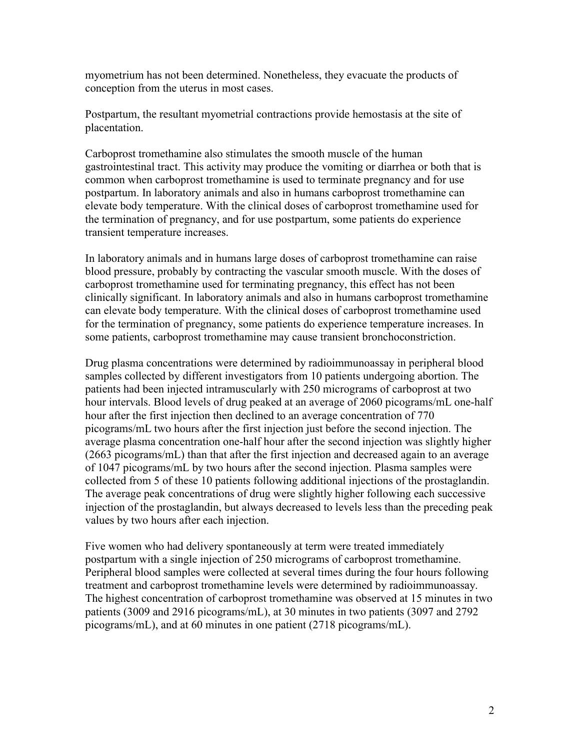myometrium has not been determined. Nonetheless, they evacuate the products of conception from the uterus in most cases.

Postpartum, the resultant myometrial contractions provide hemostasis at the site of placentation.

Carboprost tromethamine also stimulates the smooth muscle of the human gastrointestinal tract. This activity may produce the vomiting or diarrhea or both that is common when carboprost tromethamine is used to terminate pregnancy and for use postpartum. In laboratory animals and also in humans carboprost tromethamine can elevate body temperature. With the clinical doses of carboprost tromethamine used for the termination of pregnancy, and for use postpartum, some patients do experience transient temperature increases.

In laboratory animals and in humans large doses of carboprost tromethamine can raise blood pressure, probably by contracting the vascular smooth muscle. With the doses of carboprost tromethamine used for terminating pregnancy, this effect has not been clinically significant. In laboratory animals and also in humans carboprost tromethamine can elevate body temperature. With the clinical doses of carboprost tromethamine used for the termination of pregnancy, some patients do experience temperature increases. In some patients, carboprost tromethamine may cause transient bronchoconstriction.

Drug plasma concentrations were determined by radioimmunoassay in peripheral blood samples collected by different investigators from 10 patients undergoing abortion. The patients had been injected intramuscularly with 250 micrograms of carboprost at two hour intervals. Blood levels of drug peaked at an average of 2060 picograms/mL one-half hour after the first injection then declined to an average concentration of 770 picograms/mL two hours after the first injection just before the second injection. The average plasma concentration one-half hour after the second injection was slightly higher (2663 picograms/mL) than that after the first injection and decreased again to an average of 1047 picograms/mL by two hours after the second injection. Plasma samples were collected from 5 of these 10 patients following additional injections of the prostaglandin. The average peak concentrations of drug were slightly higher following each successive injection of the prostaglandin, but always decreased to levels less than the preceding peak values by two hours after each injection.

Five women who had delivery spontaneously at term were treated immediately postpartum with a single injection of 250 micrograms of carboprost tromethamine. Peripheral blood samples were collected at several times during the four hours following treatment and carboprost tromethamine levels were determined by radioimmunoassay. The highest concentration of carboprost tromethamine was observed at 15 minutes in two patients (3009 and 2916 picograms/mL), at 30 minutes in two patients (3097 and 2792 picograms/mL), and at 60 minutes in one patient (2718 picograms/mL).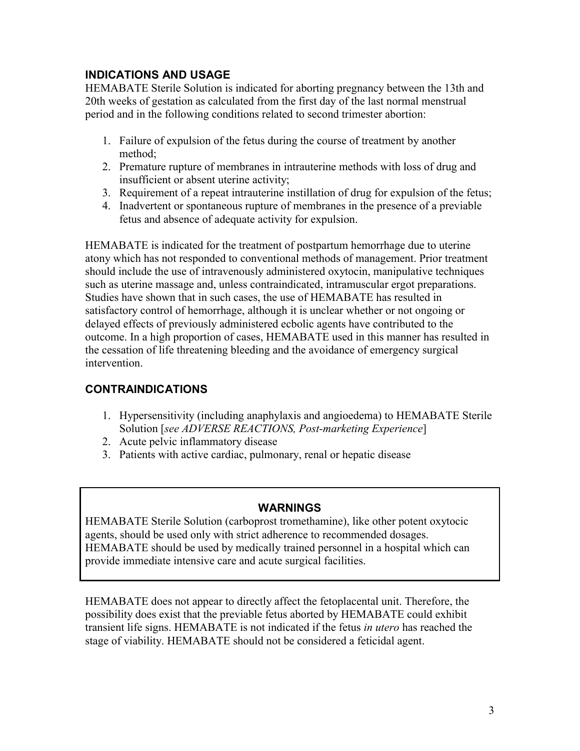# **INDICATIONS AND USAGE**

HEMABATE Sterile Solution is indicated for aborting pregnancy between the 13th and 20th weeks of gestation as calculated from the first day of the last normal menstrual period and in the following conditions related to second trimester abortion:

- 1. Failure of expulsion of the fetus during the course of treatment by another method;
- 2. Premature rupture of membranes in intrauterine methods with loss of drug and insufficient or absent uterine activity;
- 3. Requirement of a repeat intrauterine instillation of drug for expulsion of the fetus;
- 4. Inadvertent or spontaneous rupture of membranes in the presence of a previable fetus and absence of adequate activity for expulsion.

HEMABATE is indicated for the treatment of postpartum hemorrhage due to uterine atony which has not responded to conventional methods of management. Prior treatment should include the use of intravenously administered oxytocin, manipulative techniques such as uterine massage and, unless contraindicated, intramuscular ergot preparations. Studies have shown that in such cases, the use of HEMABATE has resulted in satisfactory control of hemorrhage, although it is unclear whether or not ongoing or delayed effects of previously administered ecbolic agents have contributed to the outcome. In a high proportion of cases, HEMABATE used in this manner has resulted in the cessation of life threatening bleeding and the avoidance of emergency surgical intervention.

# **CONTRAINDICATIONS**

- 1. Hypersensitivity (including anaphylaxis and angioedema) to HEMABATE Sterile Solution [*see ADVERSE REACTIONS, Post-marketing Experience*]
- 2. Acute pelvic inflammatory disease
- 3. Patients with active cardiac, pulmonary, renal or hepatic disease

### **WARNINGS**

HEMABATE Sterile Solution (carboprost tromethamine), like other potent oxytocic agents, should be used only with strict adherence to recommended dosages. HEMABATE should be used by medically trained personnel in a hospital which can provide immediate intensive care and acute surgical facilities.

HEMABATE does not appear to directly affect the fetoplacental unit. Therefore, the possibility does exist that the previable fetus aborted by HEMABATE could exhibit transient life signs. HEMABATE is not indicated if the fetus *in utero* has reached the stage of viability. HEMABATE should not be considered a feticidal agent.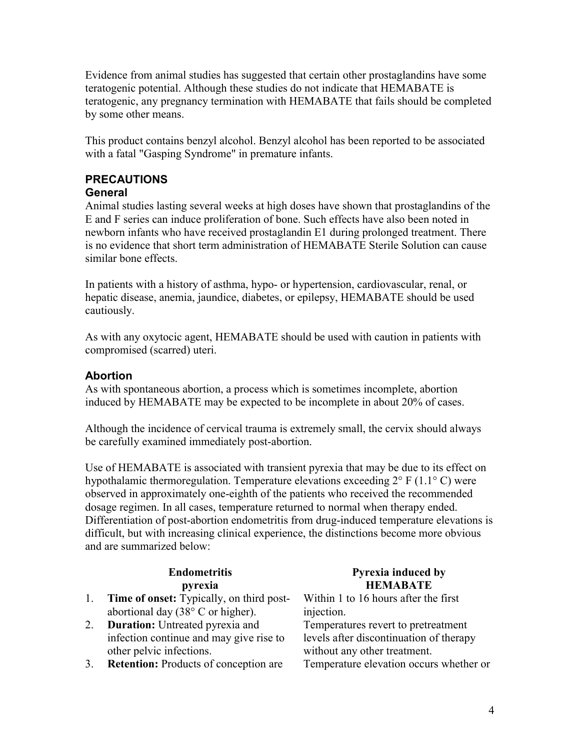Evidence from animal studies has suggested that certain other prostaglandins have some teratogenic potential. Although these studies do not indicate that HEMABATE is teratogenic, any pregnancy termination with HEMABATE that fails should be completed by some other means.

This product contains benzyl alcohol. Benzyl alcohol has been reported to be associated with a fatal "Gasping Syndrome" in premature infants.

# **PRECAUTIONS**

### **General**

Animal studies lasting several weeks at high doses have shown that prostaglandins of the E and F series can induce proliferation of bone. Such effects have also been noted in newborn infants who have received prostaglandin E1 during prolonged treatment. There is no evidence that short term administration of HEMABATE Sterile Solution can cause similar bone effects.

In patients with a history of asthma, hypo- or hypertension, cardiovascular, renal, or hepatic disease, anemia, jaundice, diabetes, or epilepsy, HEMABATE should be used cautiously.

As with any oxytocic agent, HEMABATE should be used with caution in patients with compromised (scarred) uteri.

### **Abortion**

As with spontaneous abortion, a process which is sometimes incomplete, abortion induced by HEMABATE may be expected to be incomplete in about 20% of cases.

Although the incidence of cervical trauma is extremely small, the cervix should always be carefully examined immediately post-abortion.

Use of HEMABATE is associated with transient pyrexia that may be due to its effect on hypothalamic thermoregulation. Temperature elevations exceeding  $2^{\circ}$  F (1.1<sup>o</sup> C) were observed in approximately one-eighth of the patients who received the recommended dosage regimen. In all cases, temperature returned to normal when therapy ended. Differentiation of post-abortion endometritis from drug-induced temperature elevations is difficult, but with increasing clinical experience, the distinctions become more obvious and are summarized below:

### **Endometritis pyrexia**

- 1. **Time of onset:** Typically, on third postabortional day (38° C or higher).
- 2. **Duration:** Untreated pyrexia and infection continue and may give rise to other pelvic infections.
- 3. **Retention:** Products of conception are Temperature elevation occurs whether or

### **Pyrexia induced by HEMABATE**

Within 1 to 16 hours after the first injection.

Temperatures revert to pretreatment levels after discontinuation of therapy without any other treatment.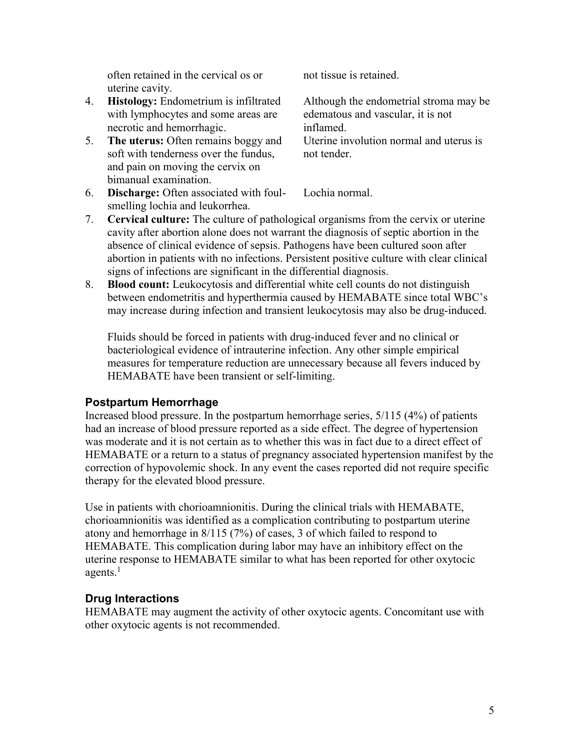often retained in the cervical os or uterine cavity.

- 4. **Histology:** Endometrium is infiltrated with lymphocytes and some areas are necrotic and hemorrhagic.
- 5. **The uterus:** Often remains boggy and soft with tenderness over the fundus, and pain on moving the cervix on bimanual examination.

not tissue is retained.

Although the endometrial stroma may be edematous and vascular, it is not inflamed. Uterine involution normal and uterus is not tender.

- 6. **Discharge:** Often associated with foulsmelling lochia and leukorrhea. Lochia normal.
- 7. **Cervical culture:** The culture of pathological organisms from the cervix or uterine cavity after abortion alone does not warrant the diagnosis of septic abortion in the absence of clinical evidence of sepsis. Pathogens have been cultured soon after abortion in patients with no infections. Persistent positive culture with clear clinical signs of infections are significant in the differential diagnosis.
- 8. **Blood count:** Leukocytosis and differential white cell counts do not distinguish between endometritis and hyperthermia caused by HEMABATE since total WBC's may increase during infection and transient leukocytosis may also be drug-induced.

Fluids should be forced in patients with drug-induced fever and no clinical or bacteriological evidence of intrauterine infection. Any other simple empirical measures for temperature reduction are unnecessary because all fevers induced by HEMABATE have been transient or self-limiting.

### **Postpartum Hemorrhage**

Increased blood pressure. In the postpartum hemorrhage series, 5/115 (4%) of patients had an increase of blood pressure reported as a side effect. The degree of hypertension was moderate and it is not certain as to whether this was in fact due to a direct effect of HEMABATE or a return to a status of pregnancy associated hypertension manifest by the correction of hypovolemic shock. In any event the cases reported did not require specific therapy for the elevated blood pressure.

Use in patients with chorioamnionitis. During the clinical trials with HEMABATE, chorioamnionitis was identified as a complication contributing to postpartum uterine atony and hemorrhage in 8/115 (7%) of cases, 3 of which failed to respond to HEMABATE. This complication during labor may have an inhibitory effect on the uterine response to HEMABATE similar to what has been reported for other oxytocic agents. $<sup>1</sup>$ </sup>

### **Drug Interactions**

HEMABATE may augment the activity of other oxytocic agents. Concomitant use with other oxytocic agents is not recommended.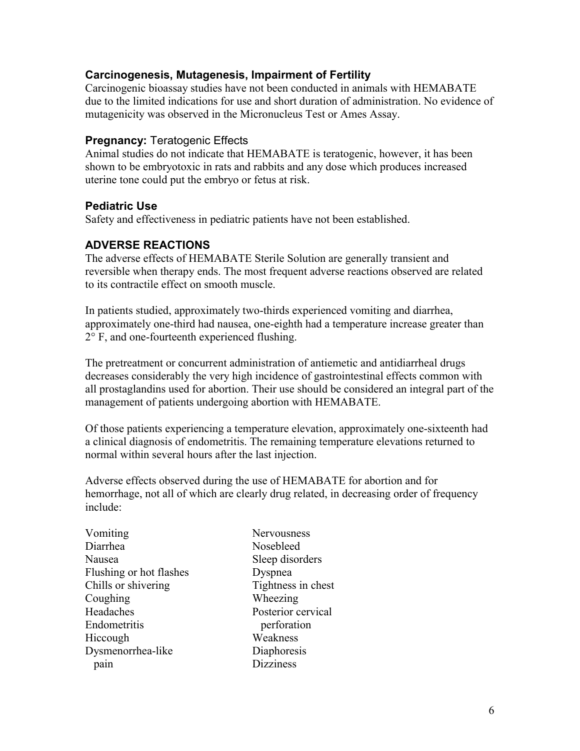### **Carcinogenesis, Mutagenesis, Impairment of Fertility**

Carcinogenic bioassay studies have not been conducted in animals with HEMABATE due to the limited indications for use and short duration of administration. No evidence of mutagenicity was observed in the Micronucleus Test or Ames Assay.

#### **Pregnancy:** Teratogenic Effects

Animal studies do not indicate that HEMABATE is teratogenic, however, it has been shown to be embryotoxic in rats and rabbits and any dose which produces increased uterine tone could put the embryo or fetus at risk.

### **Pediatric Use**

Safety and effectiveness in pediatric patients have not been established.

### **ADVERSE REACTIONS**

The adverse effects of HEMABATE Sterile Solution are generally transient and reversible when therapy ends. The most frequent adverse reactions observed are related to its contractile effect on smooth muscle.

In patients studied, approximately two-thirds experienced vomiting and diarrhea, approximately one-third had nausea, one-eighth had a temperature increase greater than 2° F, and one-fourteenth experienced flushing.

The pretreatment or concurrent administration of antiemetic and antidiarrheal drugs decreases considerably the very high incidence of gastrointestinal effects common with all prostaglandins used for abortion. Their use should be considered an integral part of the management of patients undergoing abortion with HEMABATE.

Of those patients experiencing a temperature elevation, approximately one-sixteenth had a clinical diagnosis of endometritis. The remaining temperature elevations returned to normal within several hours after the last injection.

Adverse effects observed during the use of HEMABATE for abortion and for hemorrhage, not all of which are clearly drug related, in decreasing order of frequency include:

Nervousness Nosebleed Sleep disorders Dyspnea Tightness in chest Wheezing Posterior cervical perforation Weakness Diaphoresis **Dizziness**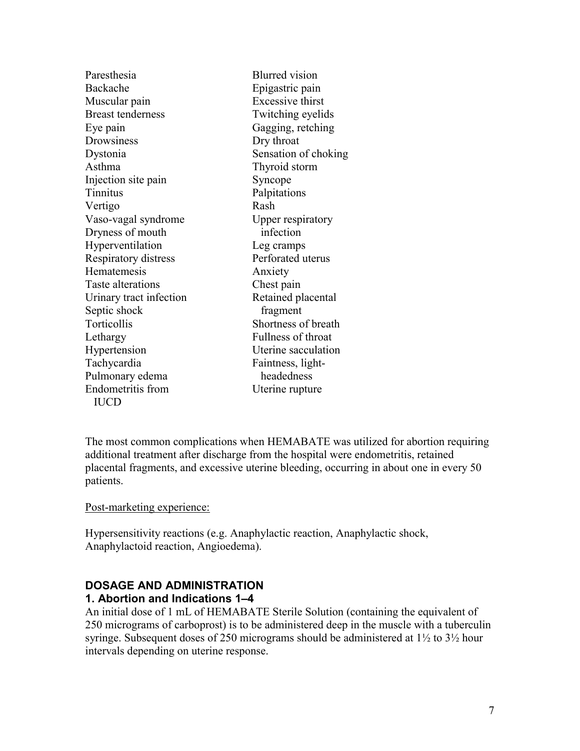| Paresthesia              | <b>Blurred</b> vision   |
|--------------------------|-------------------------|
| Backache                 | Epigastric pain         |
| Muscular pain            | <b>Excessive thirst</b> |
| <b>Breast tenderness</b> | Twitching eyelids       |
| Eye pain                 | Gagging, retching       |
| Drowsiness               | Dry throat              |
| Dystonia                 | Sensation of choking    |
| Asthma                   | Thyroid storm           |
| Injection site pain      | Syncope                 |
| Tinnitus                 | Palpitations            |
| Vertigo                  | Rash                    |
| Vaso-vagal syndrome      | Upper respiratory       |
| Dryness of mouth         | infection               |
| Hyperventilation         | Leg cramps              |
| Respiratory distress     | Perforated uterus       |
| Hematemesis              | Anxiety                 |
| Taste alterations        | Chest pain              |
| Urinary tract infection  | Retained placental      |
| Septic shock             | fragment                |
| Torticollis              | Shortness of breath     |
| Lethargy                 | Fullness of throat      |
| Hypertension             | Uterine sacculation     |
| Tachycardia              | Faintness, light-       |
| Pulmonary edema          | headedness              |
| <b>Endometritis</b> from | Uterine rupture         |
| <b>IUCD</b>              |                         |
|                          |                         |

The most common complications when HEMABATE was utilized for abortion requiring additional treatment after discharge from the hospital were endometritis, retained placental fragments, and excessive uterine bleeding, occurring in about one in every 50 patients.

Post-marketing experience:

Hypersensitivity reactions (e.g. Anaphylactic reaction, Anaphylactic shock, Anaphylactoid reaction, Angioedema).

#### **DOSAGE AND ADMINISTRATION 1. Abortion and Indications 1–4**

An initial dose of 1 mL of HEMABATE Sterile Solution (containing the equivalent of 250 micrograms of carboprost) is to be administered deep in the muscle with a tuberculin syringe. Subsequent doses of 250 micrograms should be administered at 1½ to 3½ hour intervals depending on uterine response.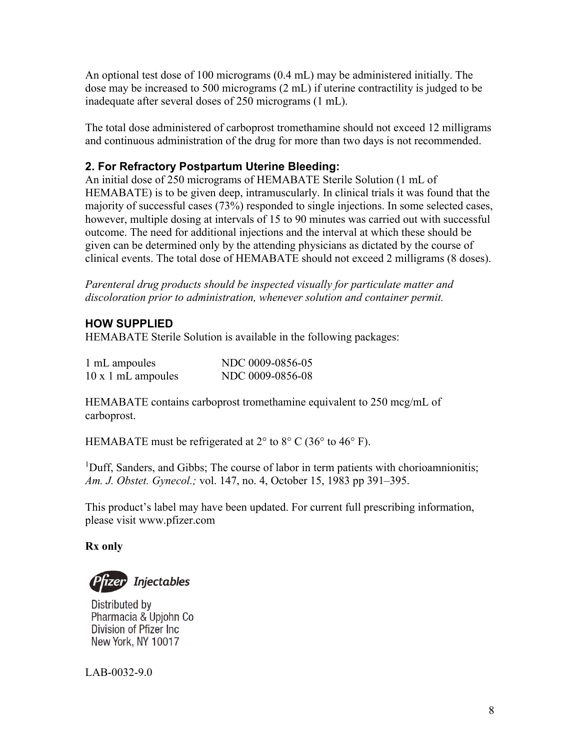An optional test dose of 100 micrograms (0.4 mL) may be administered initially. The dose may be increased to 500 micrograms (2 mL) if uterine contractility is judged to be inadequate after several doses of 250 micrograms (1 mL).

The total dose administered of carboprost tromethamine should not exceed 12 milligrams and continuous administration of the drug for more than two days is not recommended.

# **2. For Refractory Postpartum Uterine Bleeding:**

An initial dose of 250 micrograms of HEMABATE Sterile Solution (1 mL of HEMABATE) is to be given deep, intramuscularly. In clinical trials it was found that the majority of successful cases (73%) responded to single injections. In some selected cases, however, multiple dosing at intervals of 15 to 90 minutes was carried out with successful outcome. The need for additional injections and the interval at which these should be given can be determined only by the attending physicians as dictated by the course of clinical events. The total dose of HEMABATE should not exceed 2 milligrams (8 doses).

*Parenteral drug products should be inspected visually for particulate matter and discoloration prior to administration, whenever solution and container permit.*

# **HOW SUPPLIED**

HEMABATE Sterile Solution is available in the following packages:

| 1 mL ampoules             | NDC 0009-0856-05 |
|---------------------------|------------------|
| $10 \times 1$ mL ampoules | NDC 0009-0856-08 |

HEMABATE contains carboprost tromethamine equivalent to 250 mcg/mL of carboprost.

HEMABATE must be refrigerated at  $2^{\circ}$  to  $8^{\circ}$  C (36° to 46° F).

<sup>1</sup>Duff, Sanders, and Gibbs; The course of labor in term patients with chorioamnionitis; *Am. J. Obstet. Gynecol.;* vol. 147, no. 4, October 15, 1983 pp 391–395.

This product's label may have been updated. For current full prescribing information, please visit www.pfizer.com

**Rx only**

P<mark>rizer</mark> Injectables

Distributed by Pharmacia & Upjohn Co Division of Pfizer Inc New York, NY 10017

LAB-0032-9.0